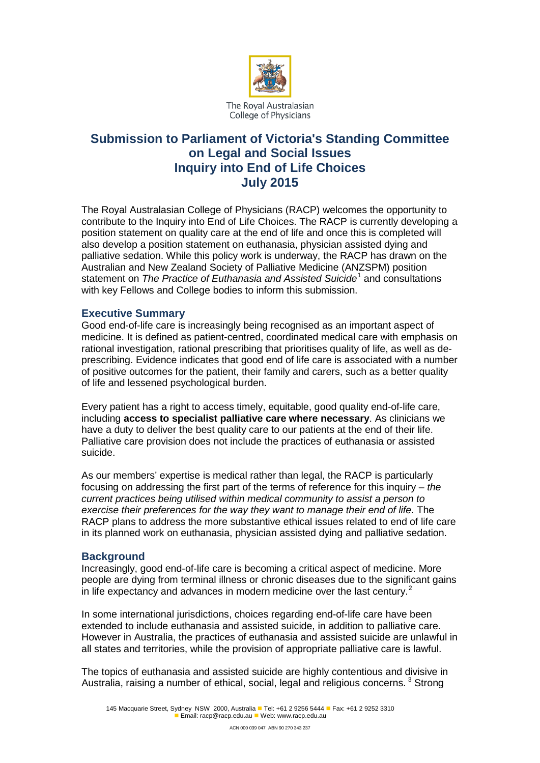

# **Submission to Parliament of Victoria's Standing Committee on Legal and Social Issues Inquiry into End of Life Choices July 2015**

The Royal Australasian College of Physicians (RACP) welcomes the opportunity to contribute to the Inquiry into End of Life Choices. The RACP is currently developing a position statement on quality care at the end of life and once this is completed will also develop a position statement on euthanasia, physician assisted dying and palliative sedation. While this policy work is underway, the RACP has drawn on the Australian and New Zealand Society of Palliative Medicine (ANZSPM) position statement on *The Practice of Euthanasia and Assisted Suicide*[1](#page-3-0) and consultations with key Fellows and College bodies to inform this submission.

## **Executive Summary**

Good end-of-life care is increasingly being recognised as an important aspect of medicine. It is defined as patient-centred, coordinated medical care with emphasis on rational investigation, rational prescribing that prioritises quality of life, as well as deprescribing. Evidence indicates that good end of life care is associated with a number of positive outcomes for the patient, their family and carers, such as a better quality of life and lessened psychological burden.

Every patient has a right to access timely, equitable, good quality end-of-life care, including **access to specialist palliative care where necessary**. As clinicians we have a duty to deliver the best quality care to our patients at the end of their life. Palliative care provision does not include the practices of euthanasia or assisted suicide.

As our members' expertise is medical rather than legal, the RACP is particularly focusing on addressing the first part of the terms of reference for this inquiry – *the current practices being utilised within medical community to assist a person to exercise their preferences for the way they want to manage their end of life.* The RACP plans to address the more substantive ethical issues related to end of life care in its planned work on euthanasia, physician assisted dying and palliative sedation.

## **Background**

Increasingly, good end-of-life care is becoming a critical aspect of medicine. More people are dying from terminal illness or chronic diseases due to the significant gains in life expectancy and advances in modern medicine over the last century.<sup>[2](#page-3-1)</sup>

In some international jurisdictions, choices regarding end-of-life care have been extended to include euthanasia and assisted suicide, in addition to palliative care. However in Australia, the practices of euthanasia and assisted suicide are unlawful in all states and territories, while the provision of appropriate palliative care is lawful.

The topics of euthanasia and assisted suicide are highly contentious and divisive in Australia, raising a number of ethical, social, legal and religious concerns.<sup>[3](#page-3-2)</sup> Strong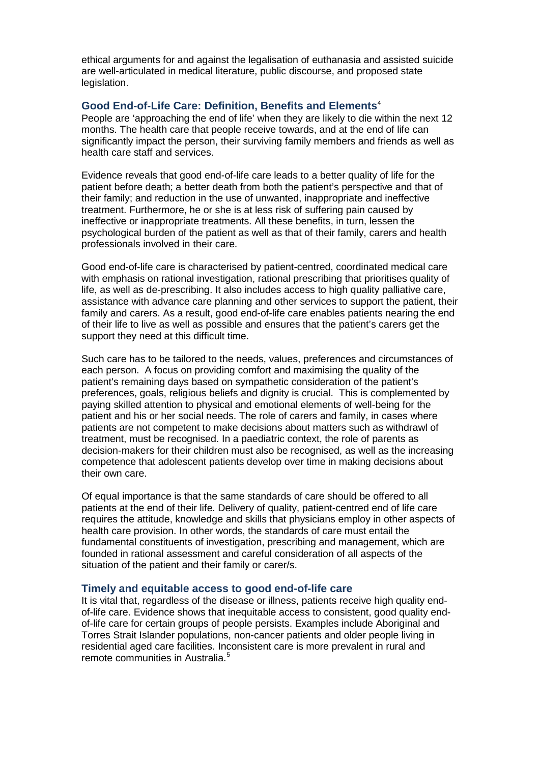ethical arguments for and against the legalisation of euthanasia and assisted suicide are well-articulated in medical literature, public discourse, and proposed state legislation.

## **Good End-of-Life Care: Definition, Benefits and Elements**[4](#page-3-3)

People are 'approaching the end of life' when they are likely to die within the next 12 months. The health care that people receive towards, and at the end of life can significantly impact the person, their surviving family members and friends as well as health care staff and services.

Evidence reveals that good end-of-life care leads to a better quality of life for the patient before death; a better death from both the patient's perspective and that of their family; and reduction in the use of unwanted, inappropriate and ineffective treatment. Furthermore, he or she is at less risk of suffering pain caused by ineffective or inappropriate treatments. All these benefits, in turn, lessen the psychological burden of the patient as well as that of their family, carers and health professionals involved in their care.

Good end-of-life care is characterised by patient-centred, coordinated medical care with emphasis on rational investigation, rational prescribing that prioritises quality of life, as well as de-prescribing. It also includes access to high quality palliative care, assistance with advance care planning and other services to support the patient, their family and carers. As a result, good end-of-life care enables patients nearing the end of their life to live as well as possible and ensures that the patient's carers get the support they need at this difficult time.

Such care has to be tailored to the needs, values, preferences and circumstances of each person. A focus on providing comfort and maximising the quality of the patient's remaining days based on sympathetic consideration of the patient's preferences, goals, religious beliefs and dignity is crucial. This is complemented by paying skilled attention to physical and emotional elements of well-being for the patient and his or her social needs. The role of carers and family, in cases where patients are not competent to make decisions about matters such as withdrawl of treatment, must be recognised. In a paediatric context, the role of parents as decision-makers for their children must also be recognised, as well as the increasing competence that adolescent patients develop over time in making decisions about their own care.

Of equal importance is that the same standards of care should be offered to all patients at the end of their life. Delivery of quality, patient-centred end of life care requires the attitude, knowledge and skills that physicians employ in other aspects of health care provision. In other words, the standards of care must entail the fundamental constituents of investigation, prescribing and management, which are founded in rational assessment and careful consideration of all aspects of the situation of the patient and their family or carer/s.

#### **Timely and equitable access to good end-of-life care**

It is vital that, regardless of the disease or illness, patients receive high quality endof-life care. Evidence shows that inequitable access to consistent, good quality endof-life care for certain groups of people persists. Examples include Aboriginal and Torres Strait Islander populations, non-cancer patients and older people living in residential aged care facilities. Inconsistent care is more prevalent in rural and remote communities in Australia. [5](#page-3-4)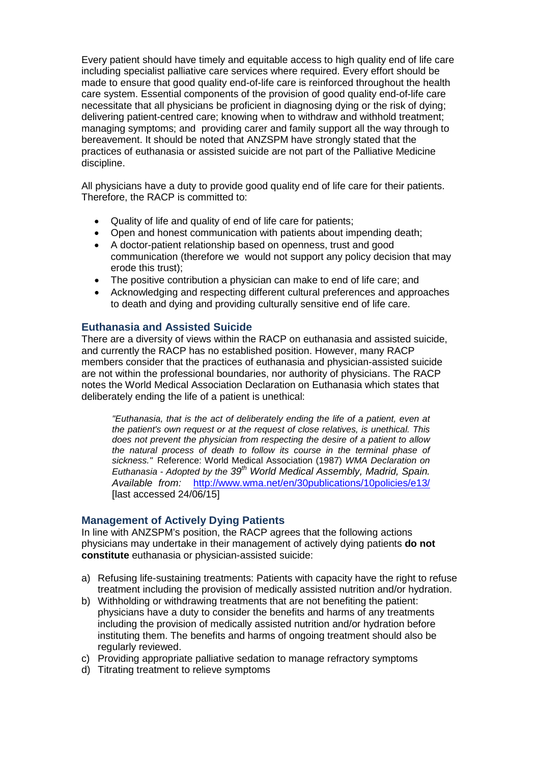Every patient should have timely and equitable access to high quality end of life care including specialist palliative care services where required. Every effort should be made to ensure that good quality end-of-life care is reinforced throughout the health care system. Essential components of the provision of good quality end-of-life care necessitate that all physicians be proficient in diagnosing dying or the risk of dying; delivering patient-centred care; knowing when to withdraw and withhold treatment; managing symptoms; and providing carer and family support all the way through to bereavement. It should be noted that ANZSPM have strongly stated that the practices of euthanasia or assisted suicide are not part of the Palliative Medicine discipline.

All physicians have a duty to provide good quality end of life care for their patients. Therefore, the RACP is committed to:

- Quality of life and quality of end of life care for patients;
- Open and honest communication with patients about impending death;
- A doctor-patient relationship based on openness, trust and good communication (therefore we would not support any policy decision that may erode this trust);
- The positive contribution a physician can make to end of life care; and
- Acknowledging and respecting different cultural preferences and approaches to death and dying and providing culturally sensitive end of life care.

## **Euthanasia and Assisted Suicide**

There are a diversity of views within the RACP on euthanasia and assisted suicide, and currently the RACP has no established position. However, many RACP members consider that the practices of euthanasia and physician-assisted suicide are not within the professional boundaries, nor authority of physicians. The RACP notes the World Medical Association Declaration on Euthanasia which states that deliberately ending the life of a patient is unethical:

*"Euthanasia, that is the act of deliberately ending the life of a patient, even at the patient's own request or at the request of close relatives, is unethical. This does not prevent the physician from respecting the desire of a patient to allow the natural process of death to follow its course in the terminal phase of sickness."* Reference: World Medical Association (1987) *WMA Declaration on Euthanasia - Adopted by the 39th World Medical Assembly, Madrid, Spain. Available from:* <http://www.wma.net/en/30publications/10policies/e13/> [last accessed 24/06/15]

## **Management of Actively Dying Patients**

In line with ANZSPM's position, the RACP agrees that the following actions physicians may undertake in their management of actively dying patients **do not constitute** euthanasia or physician-assisted suicide:

- a) Refusing life-sustaining treatments: Patients with capacity have the right to refuse treatment including the provision of medically assisted nutrition and/or hydration.
- b) Withholding or withdrawing treatments that are not benefiting the patient: physicians have a duty to consider the benefits and harms of any treatments including the provision of medically assisted nutrition and/or hydration before instituting them. The benefits and harms of ongoing treatment should also be regularly reviewed.
- c) Providing appropriate palliative sedation to manage refractory symptoms
- d) Titrating treatment to relieve symptoms